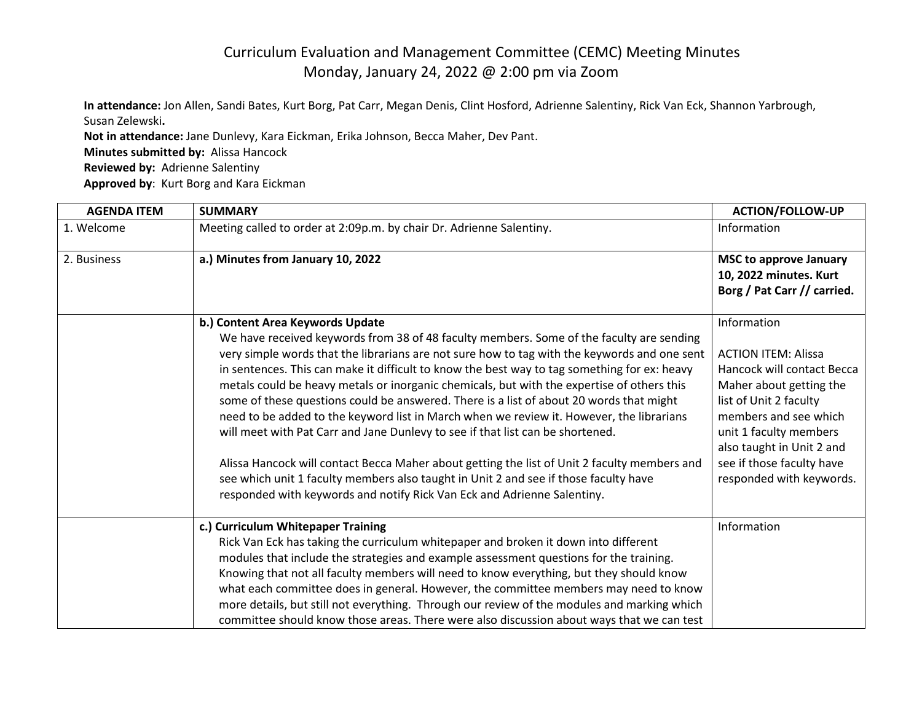## Curriculum Evaluation and Management Committee (CEMC) Meeting Minutes Monday, January 24, 2022 @ 2:00 pm via Zoom

**In attendance:** Jon Allen, Sandi Bates, Kurt Borg, Pat Carr, Megan Denis, Clint Hosford, Adrienne Salentiny, Rick Van Eck, Shannon Yarbrough, Susan Zelewski**.**

**Not in attendance:** Jane Dunlevy, Kara Eickman, Erika Johnson, Becca Maher, Dev Pant. **Minutes submitted by:** Alissa Hancock **Reviewed by:** Adrienne Salentiny **Approved by**: Kurt Borg and Kara Eickman

| <b>AGENDA ITEM</b> | <b>SUMMARY</b>                                                                                                                                                                                                                                                                                                                                                                                                                                                                                                                                                                                                                                                                                                                                                                                                                                                                                                                                                         | <b>ACTION/FOLLOW-UP</b>                                                                                                                                                                                                                                               |
|--------------------|------------------------------------------------------------------------------------------------------------------------------------------------------------------------------------------------------------------------------------------------------------------------------------------------------------------------------------------------------------------------------------------------------------------------------------------------------------------------------------------------------------------------------------------------------------------------------------------------------------------------------------------------------------------------------------------------------------------------------------------------------------------------------------------------------------------------------------------------------------------------------------------------------------------------------------------------------------------------|-----------------------------------------------------------------------------------------------------------------------------------------------------------------------------------------------------------------------------------------------------------------------|
| 1. Welcome         | Meeting called to order at 2:09p.m. by chair Dr. Adrienne Salentiny.                                                                                                                                                                                                                                                                                                                                                                                                                                                                                                                                                                                                                                                                                                                                                                                                                                                                                                   | Information                                                                                                                                                                                                                                                           |
| 2. Business        | a.) Minutes from January 10, 2022                                                                                                                                                                                                                                                                                                                                                                                                                                                                                                                                                                                                                                                                                                                                                                                                                                                                                                                                      | <b>MSC to approve January</b><br>10, 2022 minutes. Kurt<br>Borg / Pat Carr // carried.                                                                                                                                                                                |
|                    | b.) Content Area Keywords Update<br>We have received keywords from 38 of 48 faculty members. Some of the faculty are sending<br>very simple words that the librarians are not sure how to tag with the keywords and one sent<br>in sentences. This can make it difficult to know the best way to tag something for ex: heavy<br>metals could be heavy metals or inorganic chemicals, but with the expertise of others this<br>some of these questions could be answered. There is a list of about 20 words that might<br>need to be added to the keyword list in March when we review it. However, the librarians<br>will meet with Pat Carr and Jane Dunlevy to see if that list can be shortened.<br>Alissa Hancock will contact Becca Maher about getting the list of Unit 2 faculty members and<br>see which unit 1 faculty members also taught in Unit 2 and see if those faculty have<br>responded with keywords and notify Rick Van Eck and Adrienne Salentiny. | Information<br><b>ACTION ITEM: Alissa</b><br>Hancock will contact Becca<br>Maher about getting the<br>list of Unit 2 faculty<br>members and see which<br>unit 1 faculty members<br>also taught in Unit 2 and<br>see if those faculty have<br>responded with keywords. |
|                    | c.) Curriculum Whitepaper Training<br>Rick Van Eck has taking the curriculum whitepaper and broken it down into different<br>modules that include the strategies and example assessment questions for the training.<br>Knowing that not all faculty members will need to know everything, but they should know<br>what each committee does in general. However, the committee members may need to know<br>more details, but still not everything. Through our review of the modules and marking which<br>committee should know those areas. There were also discussion about ways that we can test                                                                                                                                                                                                                                                                                                                                                                     | Information                                                                                                                                                                                                                                                           |